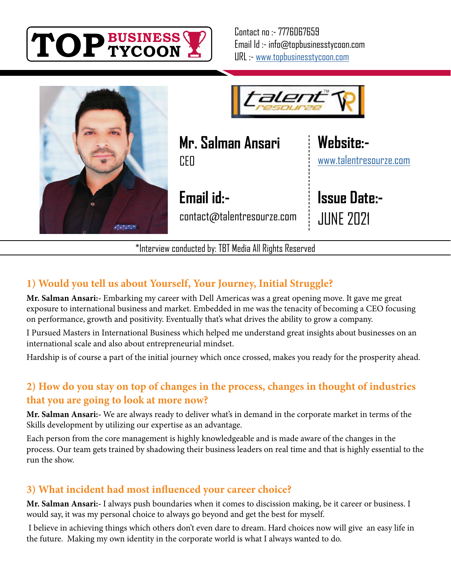



aler

**Mr. Salman Ansari CEO** 

**Email id:** contact@talentresourze.com [www.talentresourze.com](https://www.talentresourze.com/)

**Issue Date:-** JUNE 2021

**Website:-**

\*Interview conducted by: TBT Media All Rights Reserved

# **1) Would you tell us about Yourself, Your Journey, Initial Struggle?**

**Mr. Salman Ansari:-** Embarking my career with Dell Americas was a great opening move. It gave me great exposure to international business and market. Embedded in me was the tenacity of becoming a CEO focusing on performance, growth and positivity. Eventually that's what drives the ability to grow a company.

I Pursued Masters in International Business which helped me understand great insights about businesses on an international scale and also about entrepreneurial mindset.

Hardship is of course a part of the initial journey which once crossed, makes you ready for the prosperity ahead.

# **2) How do you stay on top of changes in the process, changes in thought of industries that you are going to look at more now?**

**Mr. Salman Ansari:-** We are always ready to deliver what's in demand in the corporate market in terms of the Skills development by utilizing our expertise as an advantage.

Each person from the core management is highly knowledgeable and is made aware of the changes in the process. Our team gets trained by shadowing their business leaders on real time and that is highly essential to the run the show.

# **3) What incident had most influenced your career choice?**

**Mr. Salman Ansari:-** I always push boundaries when it comes to discission making, be it career or business. I would say, it was my personal choice to always go beyond and get the best for myself.

 I believe in achieving things which others don't even dare to dream. Hard choices now will give an easy life in the future. Making my own identity in the corporate world is what I always wanted to do.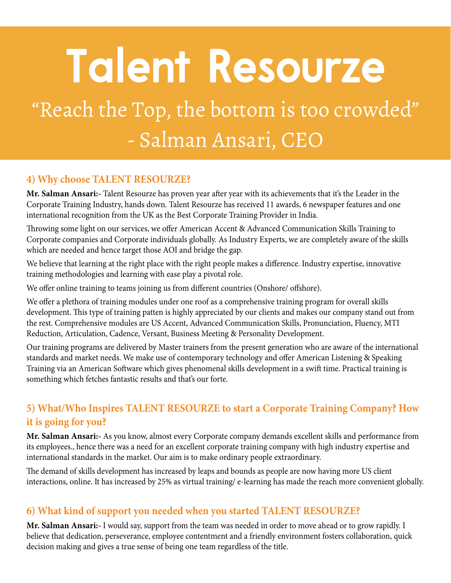# **Talent Resourze**

# "Reach the Top, the bottom is too crowded" - Salman Ansari, CEO

#### **4) Why choose TALENT RESOURZE?**

**Mr. Salman Ansari:-** Talent Resourze has proven year after year with its achievements that it's the Leader in the Corporate Training Industry, hands down. Talent Resourze has received 11 awards, 6 newspaper features and one international recognition from the UK as the Best Corporate Training Provider in India.

Throwing some light on our services, we offer American Accent & Advanced Communication Skills Training to Corporate companies and Corporate individuals globally. As Industry Experts, we are completely aware of the skills which are needed and hence target those AOI and bridge the gap.

We believe that learning at the right place with the right people makes a difference. Industry expertise, innovative training methodologies and learning with ease play a pivotal role.

We offer online training to teams joining us from different countries (Onshore/ offshore).

We offer a plethora of training modules under one roof as a comprehensive training program for overall skills development. This type of training patten is highly appreciated by our clients and makes our company stand out from the rest. Comprehensive modules are US Accent, Advanced Communication Skills, Pronunciation, Fluency, MTI Reduction, Articulation, Cadence, Versant, Business Meeting & Personality Development.

Our training programs are delivered by Master trainers from the present generation who are aware of the international standards and market needs. We make use of contemporary technology and offer American Listening & Speaking Training via an American Software which gives phenomenal skills development in a swift time. Practical training is something which fetches fantastic results and that's our forte.

# **5) What/Who Inspires TALENT RESOURZE to start a Corporate Training Company? How it is going for you?**

**Mr. Salman Ansari:-** As you know, almost every Corporate company demands excellent skills and performance from its employees., hence there was a need for an excellent corporate training company with high industry expertise and international standards in the market. Our aim is to make ordinary people extraordinary.

The demand of skills development has increased by leaps and bounds as people are now having more US client interactions, online. It has increased by 25% as virtual training/ e-learning has made the reach more convenient globally.

#### **6) What kind of support you needed when you started TALENT RESOURZE?**

**Mr. Salman Ansari:-** I would say, support from the team was needed in order to move ahead or to grow rapidly. I believe that dedication, perseverance, employee contentment and a friendly environment fosters collaboration, quick decision making and gives a true sense of being one team regardless of the title.